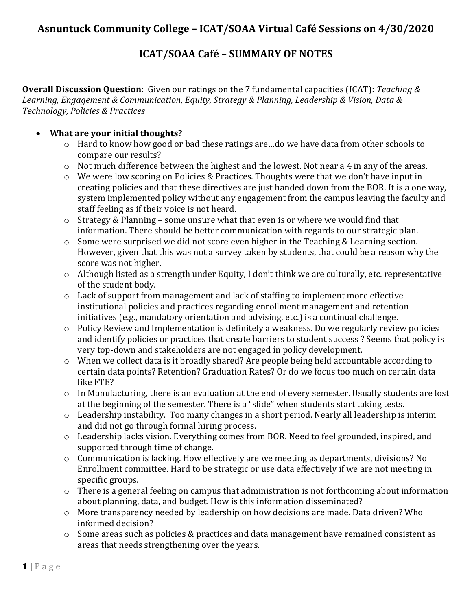# **ICAT/SOAA Café – SUMMARY OF NOTES**

**Overall Discussion Question**: Given our ratings on the 7 fundamental capacities (ICAT): *Teaching & Learning, Engagement & Communication, Equity, Strategy & Planning, Leadership & Vision, Data & Technology, Policies & Practices*

# • **What are your initial thoughts?**

- o Hard to know how good or bad these ratings are…do we have data from other schools to compare our results?
- o Not much difference between the highest and the lowest. Not near a 4 in any of the areas.
- o We were low scoring on Policies & Practices. Thoughts were that we don't have input in creating policies and that these directives are just handed down from the BOR. It is a one way, system implemented policy without any engagement from the campus leaving the faculty and staff feeling as if their voice is not heard.
- o Strategy & Planning some unsure what that even is or where we would find that information. There should be better communication with regards to our strategic plan.
- o Some were surprised we did not score even higher in the Teaching & Learning section. However, given that this was not a survey taken by students, that could be a reason why the score was not higher.
- o Although listed as a strength under Equity, I don't think we are culturally, etc. representative of the student body.
- o Lack of support from management and lack of staffing to implement more effective institutional policies and practices regarding enrollment management and retention initiatives (e.g., mandatory orientation and advising, etc.) is a continual challenge.
- o Policy Review and Implementation is definitely a weakness. Do we regularly review policies and identify policies or practices that create barriers to student success ? Seems that policy is very top-down and stakeholders are not engaged in policy development.
- o When we collect data is it broadly shared? Are people being held accountable according to certain data points? Retention? Graduation Rates? Or do we focus too much on certain data like FTE?
- o In Manufacturing, there is an evaluation at the end of every semester. Usually students are lost at the beginning of the semester. There is a "slide" when students start taking tests.
- o Leadership instability. Too many changes in a short period. Nearly all leadership is interim and did not go through formal hiring process.
- o Leadership lacks vision. Everything comes from BOR. Need to feel grounded, inspired, and supported through time of change.
- o Communication is lacking. How effectively are we meeting as departments, divisions? No Enrollment committee. Hard to be strategic or use data effectively if we are not meeting in specific groups.
- o There is a general feeling on campus that administration is not forthcoming about information about planning, data, and budget. How is this information disseminated?
- o More transparency needed by leadership on how decisions are made. Data driven? Who informed decision?
- o Some areas such as policies & practices and data management have remained consistent as areas that needs strengthening over the years.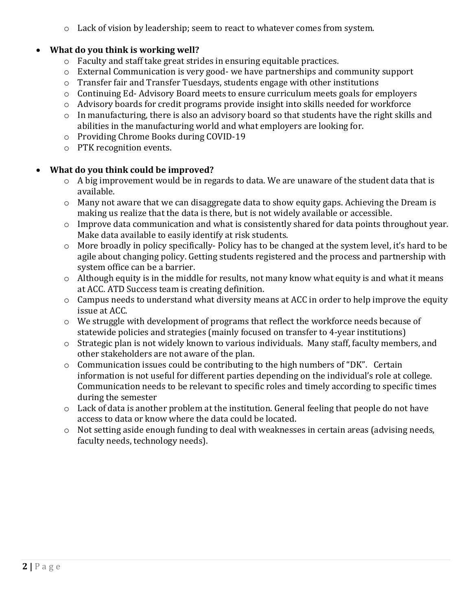$\circ$  Lack of vision by leadership; seem to react to whatever comes from system.

# • **What do you think is working well?**

- o Faculty and staff take great strides in ensuring equitable practices.
- o External Communication is very good- we have partnerships and community support
- o Transfer fair and Transfer Tuesdays, students engage with other institutions
- o Continuing Ed- Advisory Board meets to ensure curriculum meets goals for employers
- o Advisory boards for credit programs provide insight into skills needed for workforce
- o In manufacturing, there is also an advisory board so that students have the right skills and abilities in the manufacturing world and what employers are looking for.
- o Providing Chrome Books during COVID-19
- o PTK recognition events.

# • **What do you think could be improved?**

- $\circ$  A big improvement would be in regards to data. We are unaware of the student data that is available.
- o Many not aware that we can disaggregate data to show equity gaps. Achieving the Dream is making us realize that the data is there, but is not widely available or accessible.
- o Improve data communication and what is consistently shared for data points throughout year. Make data available to easily identify at risk students.
- o More broadly in policy specifically- Policy has to be changed at the system level, it's hard to be agile about changing policy. Getting students registered and the process and partnership with system office can be a barrier.
- $\circ$  Although equity is in the middle for results, not many know what equity is and what it means at ACC. ATD Success team is creating definition.
- o Campus needs to understand what diversity means at ACC in order to help improve the equity issue at ACC.
- o We struggle with development of programs that reflect the workforce needs because of statewide policies and strategies (mainly focused on transfer to 4-year institutions)
- o Strategic plan is not widely known to various individuals. Many staff, faculty members, and other stakeholders are not aware of the plan.
- o Communication issues could be contributing to the high numbers of "DK". Certain information is not useful for different parties depending on the individual's role at college. Communication needs to be relevant to specific roles and timely according to specific times during the semester
- o Lack of data is another problem at the institution. General feeling that people do not have access to data or know where the data could be located.
- o Not setting aside enough funding to deal with weaknesses in certain areas (advising needs, faculty needs, technology needs).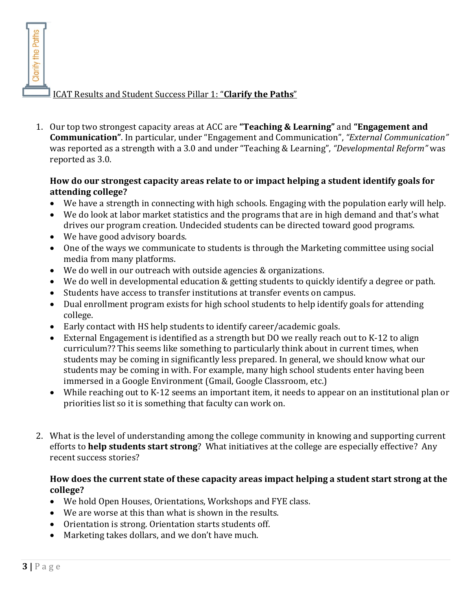ICAT Results and Student Success Pillar 1: "**Clarify the Paths**"

1. Our top two strongest capacity areas at ACC are **"Teaching & Learning"** and **"Engagement and Communication"**. In particular, under "Engagement and Communication", *"External Communication"* was reported as a strength with a 3.0 and under "Teaching & Learning", *"Developmental Reform"* was reported as 3.0.

## **How do our strongest capacity areas relate to or impact helping a student identify goals for attending college?**

- We have a strength in connecting with high schools. Engaging with the population early will help.
- We do look at labor market statistics and the programs that are in high demand and that's what drives our program creation. Undecided students can be directed toward good programs.
- We have good advisory boards.
- One of the ways we communicate to students is through the Marketing committee using social media from many platforms.
- We do well in our outreach with outside agencies & organizations.
- We do well in developmental education & getting students to quickly identify a degree or path.
- Students have access to transfer institutions at transfer events on campus.
- Dual enrollment program exists for high school students to help identify goals for attending college.
- Early contact with HS help students to identify career/academic goals.
- External Engagement is identified as a strength but DO we really reach out to K-12 to align curriculum?? This seems like something to particularly think about in current times, when students may be coming in significantly less prepared. In general, we should know what our students may be coming in with. For example, many high school students enter having been immersed in a Google Environment (Gmail, Google Classroom, etc.)
- While reaching out to K-12 seems an important item, it needs to appear on an institutional plan or priorities list so it is something that faculty can work on.
- 2. What is the level of understanding among the college community in knowing and supporting current efforts to **help students start strong**? What initiatives at the college are especially effective? Any recent success stories?

## **How does the current state of these capacity areas impact helping a student start strong at the college?**

- We hold Open Houses, Orientations, Workshops and FYE class.
- We are worse at this than what is shown in the results.
- Orientation is strong. Orientation starts students off.
- Marketing takes dollars, and we don't have much.

Clarify the Paths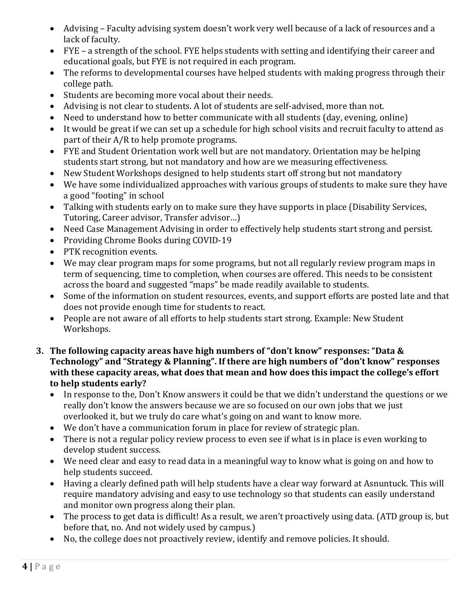- Advising Faculty advising system doesn't work very well because of a lack of resources and a lack of faculty.
- FYE a strength of the school. FYE helps students with setting and identifying their career and educational goals, but FYE is not required in each program.
- The reforms to developmental courses have helped students with making progress through their college path.
- Students are becoming more vocal about their needs.
- Advising is not clear to students. A lot of students are self-advised, more than not.
- Need to understand how to better communicate with all students (day, evening, online)
- It would be great if we can set up a schedule for high school visits and recruit faculty to attend as part of their A/R to help promote programs.
- FYE and Student Orientation work well but are not mandatory. Orientation may be helping students start strong, but not mandatory and how are we measuring effectiveness.
- New Student Workshops designed to help students start off strong but not mandatory
- We have some individualized approaches with various groups of students to make sure they have a good "footing" in school
- Talking with students early on to make sure they have supports in place (Disability Services, Tutoring, Career advisor, Transfer advisor…)
- Need Case Management Advising in order to effectively help students start strong and persist.
- Providing Chrome Books during COVID-19
- PTK recognition events.
- We may clear program maps for some programs, but not all regularly review program maps in term of sequencing, time to completion, when courses are offered. This needs to be consistent across the board and suggested "maps" be made readily available to students.
- Some of the information on student resources, events, and support efforts are posted late and that does not provide enough time for students to react.
- People are not aware of all efforts to help students start strong. Example: New Student Workshops.
- **3. The following capacity areas have high numbers of "don't know" responses: "Data & Technology" and "Strategy & Planning". If there are high numbers of "don't know" responses with these capacity areas, what does that mean and how does this impact the college's effort to help students early?**
	- In response to the, Don't Know answers it could be that we didn't understand the questions or we really don't know the answers because we are so focused on our own jobs that we just overlooked it, but we truly do care what's going on and want to know more.
	- We don't have a communication forum in place for review of strategic plan.
	- There is not a regular policy review process to even see if what is in place is even working to develop student success.
	- We need clear and easy to read data in a meaningful way to know what is going on and how to help students succeed.
	- Having a clearly defined path will help students have a clear way forward at Asnuntuck. This will require mandatory advising and easy to use technology so that students can easily understand and monitor own progress along their plan.
	- The process to get data is difficult! As a result, we aren't proactively using data. (ATD group is, but before that, no. And not widely used by campus.)
	- No, the college does not proactively review, identify and remove policies. It should.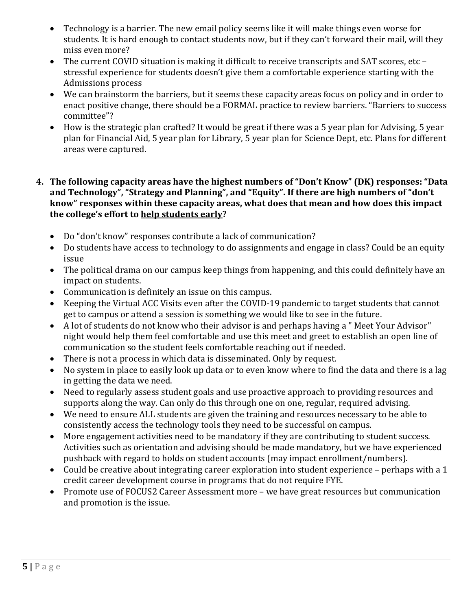- Technology is a barrier. The new email policy seems like it will make things even worse for students. It is hard enough to contact students now, but if they can't forward their mail, will they miss even more?
- The current COVID situation is making it difficult to receive transcripts and SAT scores, etc stressful experience for students doesn't give them a comfortable experience starting with the Admissions process
- We can brainstorm the barriers, but it seems these capacity areas focus on policy and in order to enact positive change, there should be a FORMAL practice to review barriers. "Barriers to success committee"?
- How is the strategic plan crafted? It would be great if there was a 5 year plan for Advising, 5 year plan for Financial Aid, 5 year plan for Library, 5 year plan for Science Dept, etc. Plans for different areas were captured.

## **4. The following capacity areas have the highest numbers of "Don't Know" (DK) responses: "Data and Technology", "Strategy and Planning", and "Equity". If there are high numbers of "don't know" responses within these capacity areas, what does that mean and how does this impact the college's effort to help students early?**

- Do "don't know" responses contribute a lack of communication?
- Do students have access to technology to do assignments and engage in class? Could be an equity issue
- The political drama on our campus keep things from happening, and this could definitely have an impact on students.
- Communication is definitely an issue on this campus.
- Keeping the Virtual ACC Visits even after the COVID-19 pandemic to target students that cannot get to campus or attend a session is something we would like to see in the future.
- A lot of students do not know who their advisor is and perhaps having a " Meet Your Advisor" night would help them feel comfortable and use this meet and greet to establish an open line of communication so the student feels comfortable reaching out if needed.
- There is not a process in which data is disseminated. Only by request.
- No system in place to easily look up data or to even know where to find the data and there is a lag in getting the data we need.
- Need to regularly assess student goals and use proactive approach to providing resources and supports along the way. Can only do this through one on one, regular, required advising.
- We need to ensure ALL students are given the training and resources necessary to be able to consistently access the technology tools they need to be successful on campus.
- More engagement activities need to be mandatory if they are contributing to student success. Activities such as orientation and advising should be made mandatory, but we have experienced pushback with regard to holds on student accounts (may impact enrollment/numbers).
- Could be creative about integrating career exploration into student experience perhaps with a 1 credit career development course in programs that do not require FYE.
- Promote use of FOCUS2 Career Assessment more we have great resources but communication and promotion is the issue.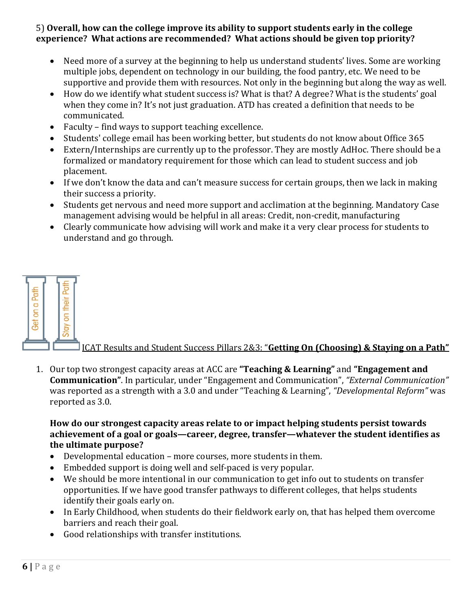#### 5) **Overall, how can the college improve its ability to support students early in the college experience? What actions are recommended? What actions should be given top priority?**

- Need more of a survey at the beginning to help us understand students' lives. Some are working multiple jobs, dependent on technology in our building, the food pantry, etc. We need to be supportive and provide them with resources. Not only in the beginning but along the way as well.
- How do we identify what student success is? What is that? A degree? What is the students' goal when they come in? It's not just graduation. ATD has created a definition that needs to be communicated.
- Faculty find ways to support teaching excellence.
- Students' college email has been working better, but students do not know about Office 365
- Extern/Internships are currently up to the professor. They are mostly AdHoc. There should be a formalized or mandatory requirement for those which can lead to student success and job placement.
- If we don't know the data and can't measure success for certain groups, then we lack in making their success a priority.
- Students get nervous and need more support and acclimation at the beginning. Mandatory Case management advising would be helpful in all areas: Credit, non-credit, manufacturing
- Clearly communicate how advising will work and make it a very clear process for students to understand and go through.



#### ICAT Results and Student Success Pillars 2&3: "**Getting On (Choosing) & Staying on a Path"**

1. Our top two strongest capacity areas at ACC are **"Teaching & Learning"** and **"Engagement and Communication"**. In particular, under "Engagement and Communication", *"External Communication"* was reported as a strength with a 3.0 and under "Teaching & Learning", *"Developmental Reform"* was reported as 3.0.

## **How do our strongest capacity areas relate to or impact helping students persist towards achievement of a goal or goals—career, degree, transfer—whatever the student identifies as the ultimate purpose?**

- Developmental education more courses, more students in them.
- Embedded support is doing well and self-paced is very popular.
- We should be more intentional in our communication to get info out to students on transfer opportunities. If we have good transfer pathways to different colleges, that helps students identify their goals early on.
- In Early Childhood, when students do their fieldwork early on, that has helped them overcome barriers and reach their goal.
- Good relationships with transfer institutions.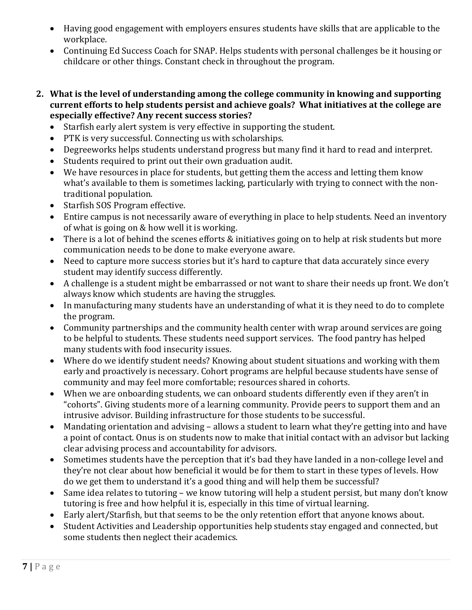- Having good engagement with employers ensures students have skills that are applicable to the workplace.
- Continuing Ed Success Coach for SNAP. Helps students with personal challenges be it housing or childcare or other things. Constant check in throughout the program.
- **2. What is the level of understanding among the college community in knowing and supporting current efforts to help students persist and achieve goals? What initiatives at the college are especially effective? Any recent success stories?**
	- Starfish early alert system is very effective in supporting the student.
	- PTK is very successful. Connecting us with scholarships.
	- Degreeworks helps students understand progress but many find it hard to read and interpret.
	- Students required to print out their own graduation audit.
	- We have resources in place for students, but getting them the access and letting them know what's available to them is sometimes lacking, particularly with trying to connect with the nontraditional population.
	- Starfish SOS Program effective.
	- Entire campus is not necessarily aware of everything in place to help students. Need an inventory of what is going on & how well it is working.
	- There is a lot of behind the scenes efforts & initiatives going on to help at risk students but more communication needs to be done to make everyone aware.
	- Need to capture more success stories but it's hard to capture that data accurately since every student may identify success differently.
	- A challenge is a student might be embarrassed or not want to share their needs up front. We don't always know which students are having the struggles.
	- In manufacturing many students have an understanding of what it is they need to do to complete the program.
	- Community partnerships and the community health center with wrap around services are going to be helpful to students. These students need support services. The food pantry has helped many students with food insecurity issues.
	- Where do we identify student needs? Knowing about student situations and working with them early and proactively is necessary. Cohort programs are helpful because students have sense of community and may feel more comfortable; resources shared in cohorts.
	- When we are onboarding students, we can onboard students differently even if they aren't in "cohorts". Giving students more of a learning community. Provide peers to support them and an intrusive advisor. Building infrastructure for those students to be successful.
	- Mandating orientation and advising allows a student to learn what they're getting into and have a point of contact. Onus is on students now to make that initial contact with an advisor but lacking clear advising process and accountability for advisors.
	- Sometimes students have the perception that it's bad they have landed in a non-college level and they're not clear about how beneficial it would be for them to start in these types of levels. How do we get them to understand it's a good thing and will help them be successful?
	- Same idea relates to tutoring we know tutoring will help a student persist, but many don't know tutoring is free and how helpful it is, especially in this time of virtual learning.
	- Early alert/Starfish, but that seems to be the only retention effort that anyone knows about.
	- Student Activities and Leadership opportunities help students stay engaged and connected, but some students then neglect their academics.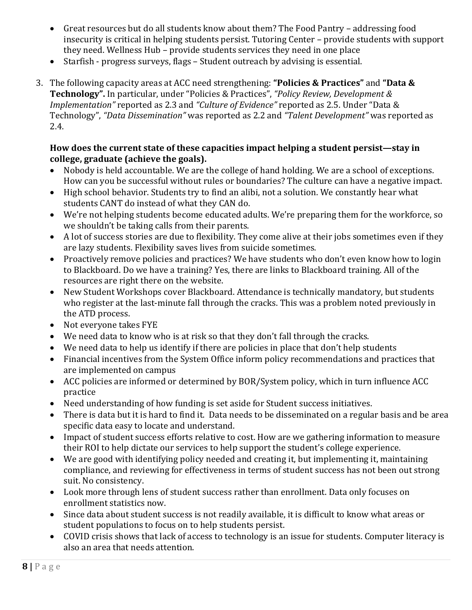- Great resources but do all students know about them? The Food Pantry addressing food insecurity is critical in helping students persist. Tutoring Center – provide students with support they need. Wellness Hub – provide students services they need in one place
- Starfish progress surveys, flags Student outreach by advising is essential.
- 3. The following capacity areas at ACC need strengthening: **"Policies & Practices"** and **"Data & Technology".** In particular, under "Policies & Practices", *"Policy Review, Development & Implementation"* reported as 2.3 and *"Culture of Evidence"* reported as 2.5. Under "Data & Technology", *"Data Dissemination"* was reported as 2.2 and *"Talent Development"* was reported as 2.4.

# **How does the current state of these capacities impact helping a student persist—stay in college, graduate (achieve the goals).**

- Nobody is held accountable. We are the college of hand holding. We are a school of exceptions. How can you be successful without rules or boundaries? The culture can have a negative impact.
- High school behavior. Students try to find an alibi, not a solution. We constantly hear what students CANT do instead of what they CAN do.
- We're not helping students become educated adults. We're preparing them for the workforce, so we shouldn't be taking calls from their parents.
- A lot of success stories are due to flexibility. They come alive at their jobs sometimes even if they are lazy students. Flexibility saves lives from suicide sometimes.
- Proactively remove policies and practices? We have students who don't even know how to login to Blackboard. Do we have a training? Yes, there are links to Blackboard training. All of the resources are right there on the website.
- New Student Workshops cover Blackboard. Attendance is technically mandatory, but students who register at the last-minute fall through the cracks. This was a problem noted previously in the ATD process.
- Not everyone takes FYE
- We need data to know who is at risk so that they don't fall through the cracks.
- We need data to help us identify if there are policies in place that don't help students
- Financial incentives from the System Office inform policy recommendations and practices that are implemented on campus
- ACC policies are informed or determined by BOR/System policy, which in turn influence ACC practice
- Need understanding of how funding is set aside for Student success initiatives.
- There is data but it is hard to find it. Data needs to be disseminated on a regular basis and be area specific data easy to locate and understand.
- Impact of student success efforts relative to cost. How are we gathering information to measure their ROI to help dictate our services to help support the student's college experience.
- We are good with identifying policy needed and creating it, but implementing it, maintaining compliance, and reviewing for effectiveness in terms of student success has not been out strong suit. No consistency.
- Look more through lens of student success rather than enrollment. Data only focuses on enrollment statistics now.
- Since data about student success is not readily available, it is difficult to know what areas or student populations to focus on to help students persist.
- COVID crisis shows that lack of access to technology is an issue for students. Computer literacy is also an area that needs attention.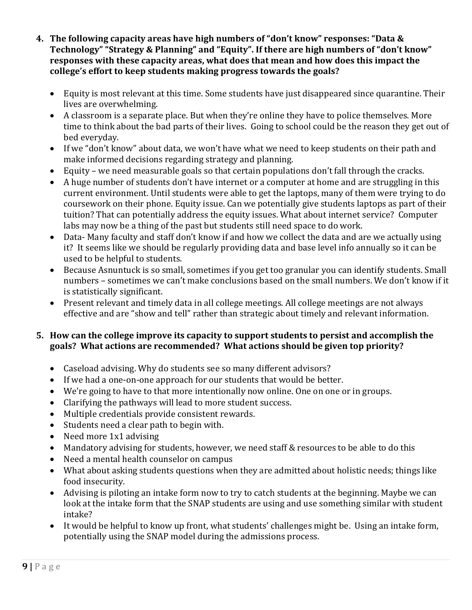- **4. The following capacity areas have high numbers of "don't know" responses: "Data & Technology" "Strategy & Planning" and "Equity". If there are high numbers of "don't know" responses with these capacity areas, what does that mean and how does this impact the college's effort to keep students making progress towards the goals?**
	- Equity is most relevant at this time. Some students have just disappeared since quarantine. Their lives are overwhelming.
	- A classroom is a separate place. But when they're online they have to police themselves. More time to think about the bad parts of their lives. Going to school could be the reason they get out of bed everyday.
	- If we "don't know" about data, we won't have what we need to keep students on their path and make informed decisions regarding strategy and planning.
	- Equity we need measurable goals so that certain populations don't fall through the cracks.
	- A huge number of students don't have internet or a computer at home and are struggling in this current environment. Until students were able to get the laptops, many of them were trying to do coursework on their phone. Equity issue. Can we potentially give students laptops as part of their tuition? That can potentially address the equity issues. What about internet service? Computer labs may now be a thing of the past but students still need space to do work.
	- Data- Many faculty and staff don't know if and how we collect the data and are we actually using it? It seems like we should be regularly providing data and base level info annually so it can be used to be helpful to students.
	- Because Asnuntuck is so small, sometimes if you get too granular you can identify students. Small numbers – sometimes we can't make conclusions based on the small numbers. We don't know if it is statistically significant.
	- Present relevant and timely data in all college meetings. All college meetings are not always effective and are "show and tell" rather than strategic about timely and relevant information.

# **5. How can the college improve its capacity to support students to persist and accomplish the goals? What actions are recommended? What actions should be given top priority?**

- Caseload advising. Why do students see so many different advisors?
- If we had a one-on-one approach for our students that would be better.
- We're going to have to that more intentionally now online. One on one or in groups.
- Clarifying the pathways will lead to more student success.
- Multiple credentials provide consistent rewards.
- Students need a clear path to begin with.
- Need more 1x1 advising
- Mandatory advising for students, however, we need staff & resources to be able to do this
- Need a mental health counselor on campus
- What about asking students questions when they are admitted about holistic needs; things like food insecurity.
- Advising is piloting an intake form now to try to catch students at the beginning. Maybe we can look at the intake form that the SNAP students are using and use something similar with student intake?
- It would be helpful to know up front, what students' challenges might be. Using an intake form, potentially using the SNAP model during the admissions process.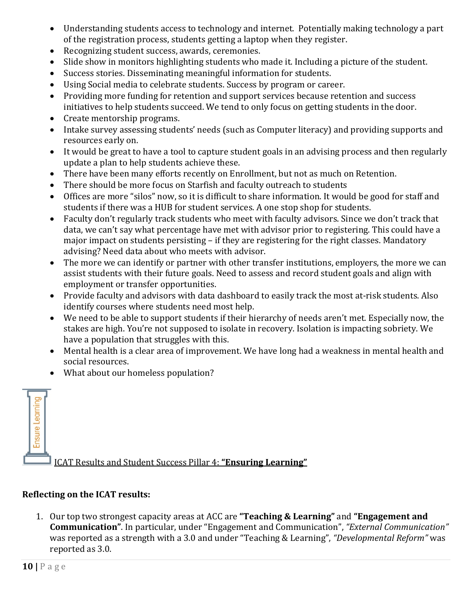- Understanding students access to technology and internet. Potentially making technology a part of the registration process, students getting a laptop when they register.
- Recognizing student success, awards, ceremonies.
- Slide show in monitors highlighting students who made it. Including a picture of the student.
- Success stories. Disseminating meaningful information for students.
- Using Social media to celebrate students. Success by program or career.
- Providing more funding for retention and support services because retention and success initiatives to help students succeed. We tend to only focus on getting students in the door.
- Create mentorship programs.
- Intake survey assessing students' needs (such as Computer literacy) and providing supports and resources early on.
- It would be great to have a tool to capture student goals in an advising process and then regularly update a plan to help students achieve these.
- There have been many efforts recently on Enrollment, but not as much on Retention.
- There should be more focus on Starfish and faculty outreach to students
- Offices are more "silos" now, so it is difficult to share information. It would be good for staff and students if there was a HUB for student services. A one stop shop for students.
- Faculty don't regularly track students who meet with faculty advisors. Since we don't track that data, we can't say what percentage have met with advisor prior to registering. This could have a major impact on students persisting – if they are registering for the right classes. Mandatory advising? Need data about who meets with advisor.
- The more we can identify or partner with other transfer institutions, employers, the more we can assist students with their future goals. Need to assess and record student goals and align with employment or transfer opportunities.
- Provide faculty and advisors with data dashboard to easily track the most at-risk students. Also identify courses where students need most help.
- We need to be able to support students if their hierarchy of needs aren't met. Especially now, the stakes are high. You're not supposed to isolate in recovery. Isolation is impacting sobriety. We have a population that struggles with this.
- Mental health is a clear area of improvement. We have long had a weakness in mental health and social resources.
- What about our homeless population?



# **Reflecting on the ICAT results:**

1. Our top two strongest capacity areas at ACC are **"Teaching & Learning"** and **"Engagement and Communication"**. In particular, under "Engagement and Communication", *"External Communication"* was reported as a strength with a 3.0 and under "Teaching & Learning", *"Developmental Reform"* was reported as 3.0.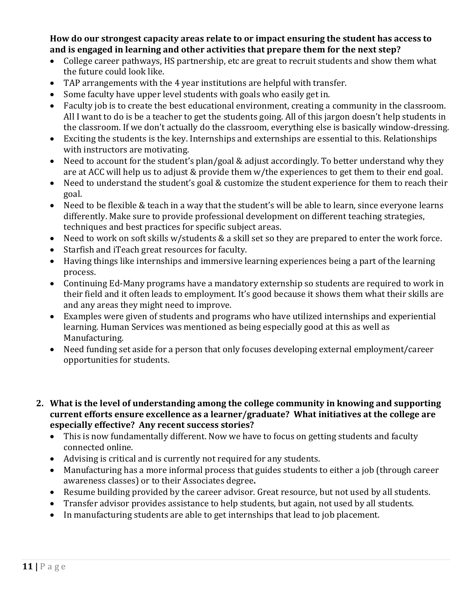**How do our strongest capacity areas relate to or impact ensuring the student has access to and is engaged in learning and other activities that prepare them for the next step?**

- College career pathways, HS partnership, etc are great to recruit students and show them what the future could look like.
- TAP arrangements with the 4 year institutions are helpful with transfer.
- Some faculty have upper level students with goals who easily get in.
- Faculty job is to create the best educational environment, creating a community in the classroom. All I want to do is be a teacher to get the students going. All of this jargon doesn't help students in the classroom. If we don't actually do the classroom, everything else is basically window-dressing.
- Exciting the students is the key. Internships and externships are essential to this. Relationships with instructors are motivating.
- Need to account for the student's plan/goal & adjust accordingly. To better understand why they are at ACC will help us to adjust & provide them w/the experiences to get them to their end goal.
- Need to understand the student's goal & customize the student experience for them to reach their goal.
- Need to be flexible & teach in a way that the student's will be able to learn, since everyone learns differently. Make sure to provide professional development on different teaching strategies, techniques and best practices for specific subject areas.
- Need to work on soft skills w/students & a skill set so they are prepared to enter the work force.
- Starfish and iTeach great resources for faculty.
- Having things like internships and immersive learning experiences being a part of the learning process.
- Continuing Ed-Many programs have a mandatory externship so students are required to work in their field and it often leads to employment. It's good because it shows them what their skills are and any areas they might need to improve.
- Examples were given of students and programs who have utilized internships and experiential learning. Human Services was mentioned as being especially good at this as well as Manufacturing.
- Need funding set aside for a person that only focuses developing external employment/career opportunities for students.
- **2. What is the level of understanding among the college community in knowing and supporting current efforts ensure excellence as a learner/graduate? What initiatives at the college are especially effective? Any recent success stories?**
	- This is now fundamentally different. Now we have to focus on getting students and faculty connected online.
	- Advising is critical and is currently not required for any students.
	- Manufacturing has a more informal process that guides students to either a job (through career awareness classes) or to their Associates degree**.**
	- Resume building provided by the career advisor. Great resource, but not used by all students.
	- Transfer advisor provides assistance to help students, but again, not used by all students.
	- In manufacturing students are able to get internships that lead to job placement.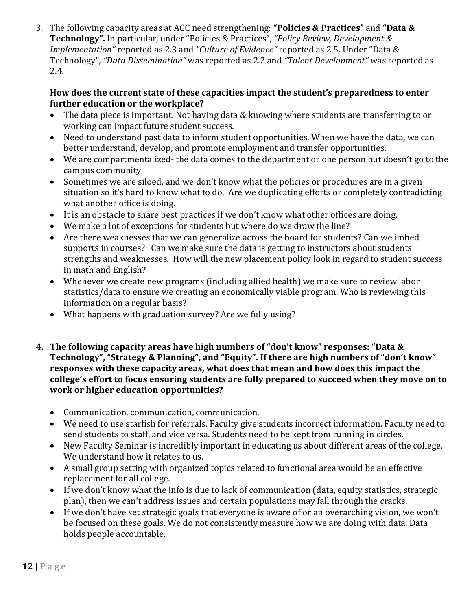3. The following capacity areas at ACC need strengthening: **"Policies & Practices"** and **"Data & Technology".** In particular, under "Policies & Practices", *"Policy Review, Development & Implementation"* reported as 2.3 and *"Culture of Evidence"* reported as 2.5. Under "Data & Technology", *"Data Dissemination"* was reported as 2.2 and *"Talent Development"* was reported as 2.4.

## **How does the current state of these capacities impact the student's preparedness to enter further education or the workplace?**

- The data piece is important. Not having data & knowing where students are transferring to or working can impact future student success.
- Need to understand past data to inform student opportunities. When we have the data, we can better understand, develop, and promote employment and transfer opportunities.
- We are compartmentalized- the data comes to the department or one person but doesn't go to the campus community
- Sometimes we are siloed, and we don't know what the policies or procedures are in a given situation so it's hard to know what to do. Are we duplicating efforts or completely contradicting what another office is doing.
- It is an obstacle to share best practices if we don't know what other offices are doing.
- We make a lot of exceptions for students but where do we draw the line?
- Are there weaknesses that we can generalize across the board for students? Can we imbed supports in courses? Can we make sure the data is getting to instructors about students strengths and weaknesses. How will the new placement policy look in regard to student success in math and English?
- Whenever we create new programs (including allied health) we make sure to review labor statistics/data to ensure we creating an economically viable program. Who is reviewing this information on a regular basis?
- What happens with graduation survey? Are we fully using?
- **4. The following capacity areas have high numbers of "don't know" responses: "Data & Technology", "Strategy & Planning", and "Equity". If there are high numbers of "don't know" responses with these capacity areas, what does that mean and how does this impact the college's effort to focus ensuring students are fully prepared to succeed when they move on to work or higher education opportunities?**
	- Communication, communication, communication.
	- We need to use starfish for referrals. Faculty give students incorrect information. Faculty need to send students to staff, and vice versa. Students need to be kept from running in circles.
	- New Faculty Seminar is incredibly important in educating us about different areas of the college. We understand how it relates to us.
	- A small group setting with organized topics related to functional area would be an effective replacement for all college.
	- If we don't know what the info is due to lack of communication (data, equity statistics, strategic plan), then we can't address issues and certain populations may fall through the cracks.
	- If we don't have set strategic goals that everyone is aware of or an overarching vision, we won't be focused on these goals. We do not consistently measure how we are doing with data. Data holds people accountable.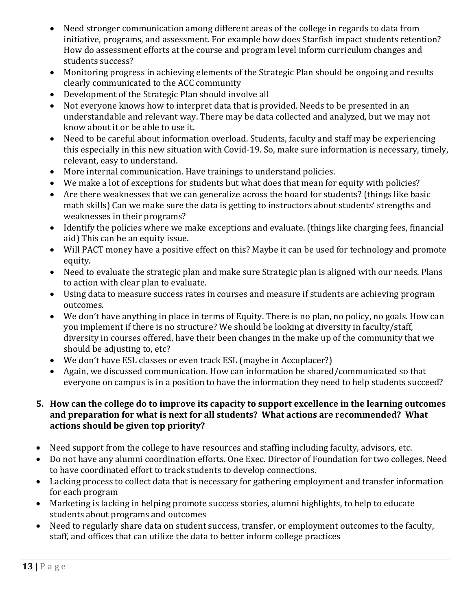- Need stronger communication among different areas of the college in regards to data from initiative, programs, and assessment. For example how does Starfish impact students retention? How do assessment efforts at the course and program level inform curriculum changes and students success?
- Monitoring progress in achieving elements of the Strategic Plan should be ongoing and results clearly communicated to the ACC community
- Development of the Strategic Plan should involve all
- Not everyone knows how to interpret data that is provided. Needs to be presented in an understandable and relevant way. There may be data collected and analyzed, but we may not know about it or be able to use it.
- Need to be careful about information overload. Students, faculty and staff may be experiencing this especially in this new situation with Covid-19. So, make sure information is necessary, timely, relevant, easy to understand.
- More internal communication. Have trainings to understand policies.
- We make a lot of exceptions for students but what does that mean for equity with policies?
- Are there weaknesses that we can generalize across the board for students? (things like basic math skills) Can we make sure the data is getting to instructors about students' strengths and weaknesses in their programs?
- Identify the policies where we make exceptions and evaluate. (things like charging fees, financial aid) This can be an equity issue.
- Will PACT money have a positive effect on this? Maybe it can be used for technology and promote equity.
- Need to evaluate the strategic plan and make sure Strategic plan is aligned with our needs. Plans to action with clear plan to evaluate.
- Using data to measure success rates in courses and measure if students are achieving program outcomes.
- We don't have anything in place in terms of Equity. There is no plan, no policy, no goals. How can you implement if there is no structure? We should be looking at diversity in faculty/staff, diversity in courses offered, have their been changes in the make up of the community that we should be adjusting to, etc?
- We don't have ESL classes or even track ESL (maybe in Accuplacer?)
- Again, we discussed communication. How can information be shared/communicated so that everyone on campus is in a position to have the information they need to help students succeed?

## **5. How can the college do to improve its capacity to support excellence in the learning outcomes and preparation for what is next for all students? What actions are recommended? What actions should be given top priority?**

- Need support from the college to have resources and staffing including faculty, advisors, etc.
- Do not have any alumni coordination efforts. One Exec. Director of Foundation for two colleges. Need to have coordinated effort to track students to develop connections.
- Lacking process to collect data that is necessary for gathering employment and transfer information for each program
- Marketing is lacking in helping promote success stories, alumni highlights, to help to educate students about programs and outcomes
- Need to regularly share data on student success, transfer, or employment outcomes to the faculty, staff, and offices that can utilize the data to better inform college practices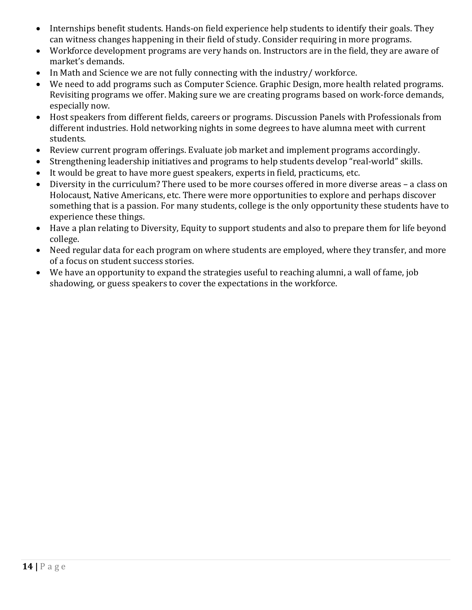- Internships benefit students. Hands-on field experience help students to identify their goals. They can witness changes happening in their field of study. Consider requiring in more programs.
- Workforce development programs are very hands on. Instructors are in the field, they are aware of market's demands.
- In Math and Science we are not fully connecting with the industry/workforce.
- We need to add programs such as Computer Science. Graphic Design, more health related programs. Revisiting programs we offer. Making sure we are creating programs based on work-force demands, especially now.
- Host speakers from different fields, careers or programs. Discussion Panels with Professionals from different industries. Hold networking nights in some degrees to have alumna meet with current students.
- Review current program offerings. Evaluate job market and implement programs accordingly.
- Strengthening leadership initiatives and programs to help students develop "real-world" skills.
- It would be great to have more guest speakers, experts in field, practicums, etc.
- Diversity in the curriculum? There used to be more courses offered in more diverse areas a class on Holocaust, Native Americans, etc. There were more opportunities to explore and perhaps discover something that is a passion. For many students, college is the only opportunity these students have to experience these things.
- Have a plan relating to Diversity, Equity to support students and also to prepare them for life beyond college.
- Need regular data for each program on where students are employed, where they transfer, and more of a focus on student success stories.
- We have an opportunity to expand the strategies useful to reaching alumni, a wall of fame, job shadowing, or guess speakers to cover the expectations in the workforce.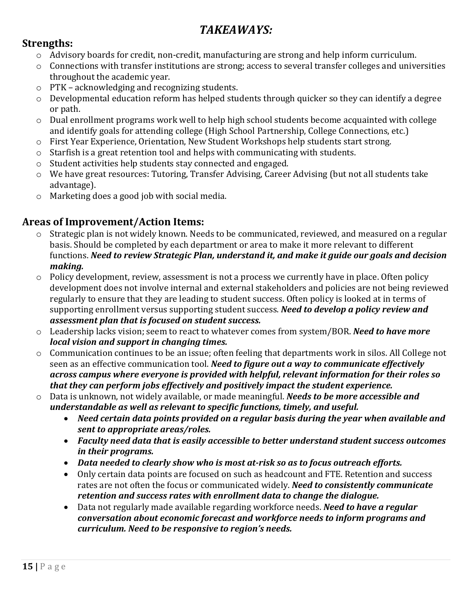# *TAKEAWAYS:*

# **Strengths:**

- o Advisory boards for credit, non-credit, manufacturing are strong and help inform curriculum.
- o Connections with transfer institutions are strong; access to several transfer colleges and universities throughout the academic year.
- o PTK acknowledging and recognizing students.
- o Developmental education reform has helped students through quicker so they can identify a degree or path.
- o Dual enrollment programs work well to help high school students become acquainted with college and identify goals for attending college (High School Partnership, College Connections, etc.)
- o First Year Experience, Orientation, New Student Workshops help students start strong.
- o Starfish is a great retention tool and helps with communicating with students.
- o Student activities help students stay connected and engaged.
- o We have great resources: Tutoring, Transfer Advising, Career Advising (but not all students take advantage).
- o Marketing does a good job with social media.

# **Areas of Improvement/Action Items:**

- o Strategic plan is not widely known. Needs to be communicated, reviewed, and measured on a regular basis. Should be completed by each department or area to make it more relevant to different functions. *Need to review Strategic Plan, understand it, and make it guide our goals and decision making.*
- $\circ$  Policy development, review, assessment is not a process we currently have in place. Often policy development does not involve internal and external stakeholders and policies are not being reviewed regularly to ensure that they are leading to student success. Often policy is looked at in terms of supporting enrollment versus supporting student success. *Need to develop a policy review and assessment plan that is focused on student success.*
- o Leadership lacks vision; seem to react to whatever comes from system/BOR. *Need to have more local vision and support in changing times.*
- o Communication continues to be an issue; often feeling that departments work in silos. All College not seen as an effective communication tool. *Need to figure out a way to communicate effectively across campus where everyone is provided with helpful, relevant information for their roles so that they can perform jobs effectively and positively impact the student experience.*
- o Data is unknown, not widely available, or made meaningful. *Needs to be more accessible and understandable as well as relevant to specific functions, timely, and useful.*
	- *Need certain data points provided on a regular basis during the year when available and sent to appropriate areas/roles.*
	- *Faculty need data that is easily accessible to better understand student success outcomes in their programs.*
	- *Data needed to clearly show who is most at-risk so as to focus outreach efforts.*
	- Only certain data points are focused on such as headcount and FTE. Retention and success rates are not often the focus or communicated widely. *Need to consistently communicate retention and success rates with enrollment data to change the dialogue.*
	- Data not regularly made available regarding workforce needs. *Need to have a regular conversation about economic forecast and workforce needs to inform programs and curriculum. Need to be responsive to region's needs.*